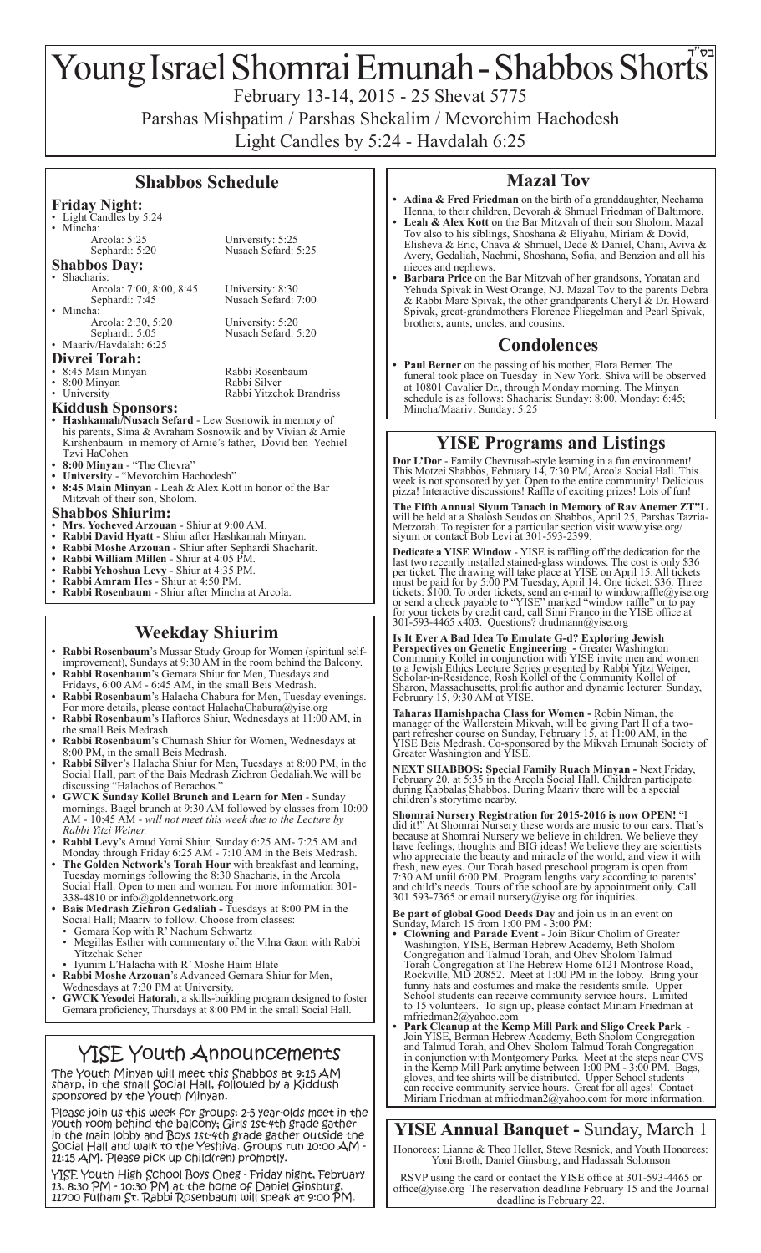# Young Israel Shomrai Emunah - Shabbos Shorts

February 13-14, 2015 - 25 Shevat 5775

Parshas Mishpatim / Parshas Shekalim / Mevorchim Hachodesh

Light Candles by 5:24 - Havdalah 6:25

#### **Shabbos Schedule**

Sephardi: 5:20 Nusach Sefard: 5:25

Nusach Sefard: 7:00

Nusach Sefard: 5:20

## **Friday Night:**

• Light Candles by 5:24<br>• Mincha:

- Mincha:<br>
Arcola: 5:25 University: 5:25<br>
Sephardi: 5:20 Nusach Sefard: 5
- **Shabbos Day:** Shacharis:
- Arcola: 7:00, 8:00, 8:45 University: 8:30<br>Sephardi: 7:45 Nusach Sefard: 7
- Mincha: Arcola: 2:30, 5:20<br>
Sephardi: 5:05<br>
Nusach Sefard: 4:
- Maariv/Havdalah: 6:25
- **Divrei Torah:** • 8:45 Main Minyan Rabbi Rosenbaum • 8:00 Minyan Rabbi Silver • University Rabbi Yitzchok Brandriss
- 
- 

**Kiddush Sponsors:**

- **• Hashkamah/Nusach Sefard** Lew Sosnowik in memory of his parents, Sima & Avraham Sosnowik and by Vivian & Arnie Kirshenbaum in memory of Arnie's father, Dovid ben Yechiel Tzvi HaCohen
- **• 8:00 Minyan** "The Chevra"
- **• University** "Mevorchim Hachodesh" **• 8:45 Main Minyan** - Leah & Alex Kott in honor of the Bar Mitzvah of their son, Sholom.
- 
- Shabbos Shiurim:<br>• Mrs. Yocheved Arzouan Shiur at 9:00 AM.
- **• Mrs. Yocheved Arzouan** Shiur at 9:00 AM. **• Rabbi David Hyatt** Shiur after Hashkamah Minyan.
- **• Rabbi Moshe Arzouan** Shiur after Sephardi Shacharit.
- **• Rabbi William Millen**Shiur at 4:05 PM.
- **• Rabbi Yehoshua Levy** Shiur at 4:35 PM.
- **• Rabbi Amram Hes** Shiur at 4:50 PM. **Rabbi Rosenbaum - Shiur after Mincha at Arcola.**

# **Weekday Shiurim**

- **Rabbi Rosenbaum**'s Mussar Study Group for Women (spiritual selfimprovement), Sundays at 9:30 AM in the room behind the Balcony. **• Rabbi Rosenbaum**'s Gemara Shiur for Men, Tuesdays and
- Fridays, 6:00 AM 6:45 AM, in the small Beis Medrash. **Rabbi Rosenbaum's Halacha Chabura for Men, Tuesday evenings.**
- For more details, please contact HalachaChabura@yise.org **• Rabbi Rosenbaum**'s Haftoros Shiur, Wednesdays at 11:00 AM, in
- the small Beis Medrash. **Rabbi Rosenbaum's Chumash Shiur for Women, Wednesdays at**
- 8:00 PM, in the small Beis Medrash. **Rabbi Silver**'s Halacha Shiur for Men, Tuesdays at 8:00 PM, in the
- Social Hall, part of the Bais Medrash Zichron Gedaliah*.*We will be discussing "Halachos of Berachos."
- **• GWCK Sunday Kollel Brunch and Learn for Men** Sunday mornings. Bagel brunch at 9:30 AM followed by classes from 10:00 AM - 10:45 AM - *will not meet this week due to the Lecture by Rabbi Yitzi Weiner.*
- **• Rabbi Levy**'s Amud Yomi Shiur, Sunday 6:25 AM- 7:25 AM and Monday through Friday 6:25 AM - 7:10 AM in the Beis Medrash.
- **• The Golden Network's Torah Hour** with breakfast and learning, Tuesday mornings following the 8:30 Shacharis, in the Arcola Social Hall. Open to men and women. For more information 301- 338-4810 or info@goldennetwork.org
- **• Bais Medrash Zichron Gedaliah -** Tuesdays at 8:00 PM in the Social Hall; Maariv to follow. Choose from classes:<br>• Gemara Kop with R' Nachum Schwartz
- 
- Megillas Esther with commentary of the Vilna Gaon with Rabbi Yitzchak Scher<br>• Iyunim L'Halacha with R' Moshe Haim Blate<br>**Rabbi Moshe Arzouan**'s Advanced Gemara Shiur for Men,
- 
- Wednesdays at 7:30 PM at University.
- **GWCK Yesodei Hatorah**, a skills-building program designed to foster Gemara proficiency, Thursdays at 8:00 PM in the small Social Hall.

# YISE Youth Announcements

The Youth Minyan will meet this Shabbos at 9:15 AM sharp, in the small Social Hall, followed by a Kiddush sponsored by the Youth Minyan.

Please join us this week for groups: 2-5 year-olds meet in the youth room behind the balcony; Girls 1st-4th grade gather in the main lobby and Boys 1st-4th grade gather outside the Social Hall and walk to the Yeshiva. Groups run 10:00 AM - 11:15 AM. Please pick up child(ren) promptly.

YISE Youth High School Boys Oneg - Friday night, February 13, 8:30 PM - 10:30 PM at the home of Daniel Ginsburg, 11700 Fulham St. Rabbi Rosenbaum will speak at 9:00 PM.

# **Mazal Tov**

- Adina & Fred Friedman on the birth of a granddaughter, Nechama Henna, to their children, Devorah & Shmuel Friedman of Baltimore.
- Leah & Alex Kott on the Bar Mitzvah of their son Sholom. Mazal Tov also to his siblings, Shoshana & Eliyahu, Miriam & Dovid, Elisheva & Eric, Chava & Shmuel, Dede & Daniel, Chani, Aviva & Avery, Gedaliah, Nachmi, Shoshana, Sofia, and Benzion and all his
- nieces and nephews. **• Barbara Price** on the Bar Mitzvah of her grandsons, Yonatan and Yehuda Spivak in West Orange, NJ. Mazal Tov to the parents Debra & Rabbi Marc Spivak, the other grandparents Cheryl & Dr. Howard Spivak, great-grandmothers Florence Fliegelman and Pearl Spivak, brothers, aunts, uncles, and cousins.

#### **Condolences**

Paul Berner on the passing of his mother, Flora Berner. The funeral took place on Tuesday in New York. Shiva will be observed at 10801 Cavalier Dr., through Monday morning. The Minyan schedule is as follows: Shacharis: Sunday: 8:00, Monday: 6:45; Mincha/Maariv: Sunday: 5:25

### **YISE Programs and Listings**

**Dor L'Dor** - Family Chevrusah-style learning in a fun environment! This Motzei Shabbos, February 14, 7:30 PM, Arcola Social Hall. This week is not sponsored by yet. Open to the entire community! Delicious pizza! Interactive discussions! Raffle of exciting prizes! Lots of fun!

**The Fifth Annual Siyum Tanach in Memory of Rav Anemer ZT"L**  will be held at a Shalosh Seudos on Shabbos, April 25, Parshas Tazria-Metzorah. To register for a particular section visit www.yise.org/ siyum or contact Bob Levi at 301-593-2399.

**Dedicate a YISE Window** - YISE is raffling off the dedication for the last two recently installed stained-glass windows. The cost is only \$36 per ticket. The drawing will take place at YISE on April 15. All tickets must be paid for by 5:00 PM Tuesday, April 14. One ticket: \$36. Three tickets: \$100. To order tickets, send an e-mail to windowraffle@yise.org or send a check payable to "YISE" marked "window raffle" or to pay for your tickets by credit card, call Simi Franco in the YISE office at 301-593-4465 x403. Questions? drudmann@yise.org

**Is It Ever A Bad Idea To Emulate G-d? Exploring Jewish Perspectives on Genetic Engineering - Greater Washington Community Kollel in conjunction with YISE invite men and women** to a Jewish Ethics Lecture Series presented by Rabbi Yitzi Weiner, Scholar-in-Residence, Rosh Kollel of the Community Kollel of Sharon, Massachusetts, prolific author and dynamic lecturer. Sunday, February 15, 9:30 AM at YISE.

**Taharas Hamishpacha Class for Women -** Robin Niman, the manager of the Wallerstein Mikvah, will be giving Part II of a twopart refresher course on Sunday, February 15, at 11:00 AM, in the YISE Beis Medrash. Co-sponsored by the Mikvah Emunah Society of Greater Washington and YISE.

**NEXT SHABBOS: Special Family Ruach Minyan -** Next Friday, February 20, at 5:35 in the Arcola Social Hall. Children participate during Kabbalas Shabbos. During Maariv there will be a special children's storytime nearby.

**Shomrai Nursery Registration for 2015-2016 is now OPEN!** did it!" At Shomrai Nursery these words are music to our ears. That's because at Shomrai Nursery we believe in children. We believe they have feelings, thoughts and BIG ideas! We believe they are scientists who appreciate the beauty and miracle of the world, and view it with fresh, new eyes. Our Torah based preschool program is open from 7:30 AM until 6:00 PM. Program lengths vary according to parents' and child's needs. Tours of the school are by appointment only. Call 301 593-7365 or email nursery@yise.org for inquiries.

**Be part of global Good Deeds Day** and join us in an event on Sunday, March 15 from 1:00 PM - 3:00 PM:

- **• Clowning and Parade Event**  Join Bikur Cholim of Greater Washington, YISE, Berman Hebrew Academy, Beth Sholom Congregation and Talmud Torah, and Ohev Sholom Talmud Torah Congregation at The Hebrew Home 6121 Montrose Road, Rockville, MD 20852. Meet at 1:00 PM in the lobby. Bring your funny hats and costumes and make the residents smile. Upper School students can receive community service hours. Limited to 15 volunteers. To sign up, please contact Miriam Friedman at
- mfriedman2@yahoo.com<br>**• Park Cleanup at the Kemp Mill Park and Sligo Creek Park -<br>Join YISE, Berman Hebrew Academy, Beth Sholom Congregation** and Talmud Torah, and Ohev Sholom Talmud Torah Congregation in conjunction with Montgomery Parks. Meet at the steps near CVS in the Kemp Mill Park anytime between 1:00 PM - 3:00 PM. Bags, gloves, and tee shirts will be distributed. Upper School students can receive community service hours. Great for all ages! Contact Miriam Friedman at mfriedman2@yahoo.com for more information.

**YISE Annual Banquet -** Sunday, March 1

Honorees: Lianne & Theo Heller, Steve Resnick, and Youth Honorees: Yoni Broth, Daniel Ginsburg, and Hadassah Solomson

RSVP using the card or contact the YISE office at 301-593-4465 or office@yise.org The reservation deadline February 15 and the Journal deadline is February 22.